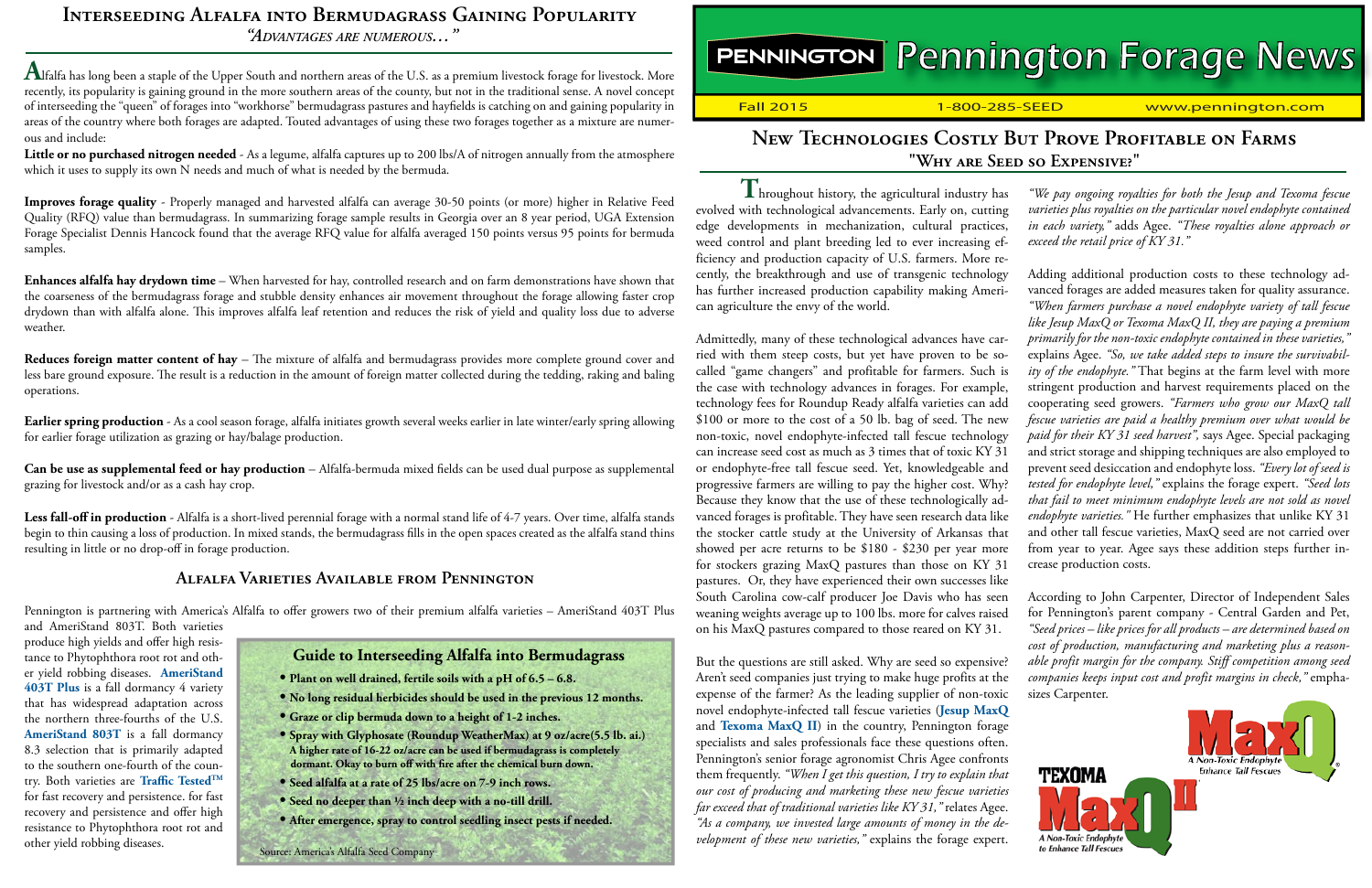# PENNINGTON Pennington Forage News

Fall 2015 1-800-285-SEED www.pennington.com

# **New Technologies Costly But Prove Profitable on Farms "Why are Seed so Expensive?"**

**T** hroughout history, the agricultural industry has evolved with technological advancements. Early on, cutting edge developments in mechanization, cultural practices, weed control and plant breeding led to ever increasing efficiency and production capacity of U.S. farmers. More recently, the breakthrough and use of transgenic technology has further increased production capability making American agriculture the envy of the world.

Admittedly, many of these technological advances have carried with them steep costs, but yet have proven to be socalled "game changers" and profitable for farmers. Such is the case with technology advances in forages. For example, technology fees for Roundup Ready alfalfa varieties can add \$100 or more to the cost of a 50 lb. bag of seed. The new non-toxic, novel endophyte-infected tall fescue technology can increase seed cost as much as 3 times that of toxic KY 31 or endophyte-free tall fescue seed. Yet, knowledgeable and progressive farmers are willing to pay the higher cost. Why? Because they know that the use of these technologically advanced forages is profitable. They have seen research data like the stocker cattle study at the University of Arkansas that showed per acre returns to be \$180 - \$230 per year more for stockers grazing MaxQ pastures than those on KY 31 pastures. Or, they have experienced their own successes like South Carolina cow-calf producer Joe Davis who has seen weaning weights average up to 100 lbs. more for calves raised on his MaxQ pastures compared to those reared on KY 31.

But the questions are still asked. Why are seed so expensive? Aren't seed companies just trying to make huge profits at the expense of the farmer? As the leading supplier of non-toxic novel endophyte-infected tall fescue varieties (**[Jesup MaxQ](http://www.pennington.com/pc-cool_season_12-pd-MaxQ_138)**  and **[Texoma MaxQ II](http://www.pennington.com/pc-cool_season_12-pd-_490)**) in the country, Pennington forage specialists and sales professionals face these questions often. Pennington's senior forage agronomist Chris Agee confronts them frequently. *"When I get this question, I try to explain that our cost of producing and marketing these new fescue varieties far exceed that of traditional varieties like KY 31,"* relates Agee. *"As a company, we invested large amounts of money in the development of these new varieties,"* explains the forage expert.

*"We pay ongoing royalties for both the Jesup and Texoma fescue varieties plus royalties on the particular novel endophyte contained in each variety,"* adds Agee. *"These royalties alone approach or exceed the retail price of KY 31."*

Adding additional production costs to these technology advanced forages are added measures taken for quality assurance. *"When farmers purchase a novel endophyte variety of tall fescue like Jesup MaxQ or Texoma MaxQ II, they are paying a premium primarily for the non-toxic endophyte contained in these varieties,"* explains Agee. *"So, we take added steps to insure the survivability of the endophyte."* That begins at the farm level with more stringent production and harvest requirements placed on the cooperating seed growers. *"Farmers who grow our MaxQ tall fescue varieties are paid a healthy premium over what would be paid for their KY 31 seed harvest",* says Agee. Special packaging and strict storage and shipping techniques are also employed to prevent seed desiccation and endophyte loss. *"Every lot of seed is tested for endophyte level,"* explains the forage expert. *"Seed lots that fail to meet minimum endophyte levels are not sold as novel endophyte varieties."* He further emphasizes that unlike KY 31 and other tall fescue varieties, MaxQ seed are not carried over from year to year. Agee says these addition steps further increase production costs.

According to John Carpenter, Director of Independent Sales for Pennington's parent company - Central Garden and Pet, *"Seed prices – like prices for all products – are determined based on cost of production, manufacturing and marketing plus a reasonable profit margin for the company. Stiff competition among seed companies keeps input cost and profit margins in check,"* emphasizes Carpenter.



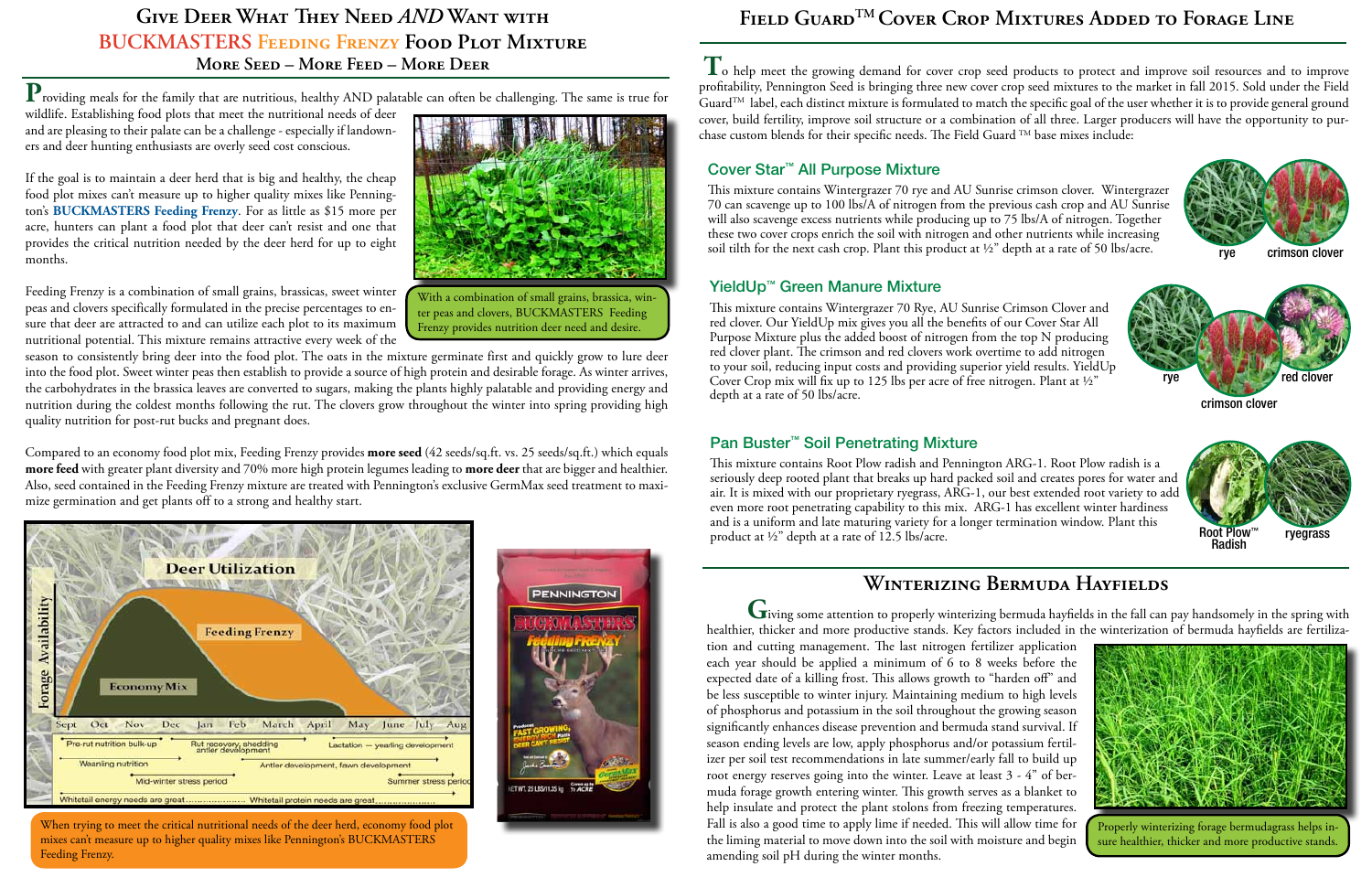# **GIVE DEER WHAT THEY NEED** *AND* **WANT WITH BUCKMASTERS Feeding Frenzy Food Plot Mixture More Seed – More Feed – More Deer**

 ${\bf P}_{\rm{roviding}}$  meals for the family that are nutritious, healthy AND palatable can often be challenging. The same is true for

wildlife. Establishing food plots that meet the nutritional needs of deer and are pleasing to their palate can be a challenge - especially if landowners and deer hunting enthusiasts are overly seed cost conscious.

If the goal is to maintain a deer herd that is big and healthy, the cheap food plot mixes can't measure up to higher quality mixes like Pennington's **[BUCKMASTERS Feeding Frenzy](http://www.pennington.com/pc-_17-pd-_35)**. For as little as \$15 more per acre, hunters can plant a food plot that deer can't resist and one that provides the critical nutrition needed by the deer herd for up to eight months.

Feeding Frenzy is a combination of small grains, brassicas, sweet winter peas and clovers specifically formulated in the precise percentages to ensure that deer are attracted to and can utilize each plot to its maximum nutritional potential. This mixture remains attractive every week of the

season to consistently bring deer into the food plot. The oats in the mixture germinate first and quickly grow to lure deer into the food plot. Sweet winter peas then establish to provide a source of high protein and desirable forage. As winter arrives, the carbohydrates in the brassica leaves are converted to sugars, making the plants highly palatable and providing energy and nutrition during the coldest months following the rut. The clovers grow throughout the winter into spring providing high quality nutrition for post-rut bucks and pregnant does.

Compared to an economy food plot mix, Feeding Frenzy provides **more seed** (42 seeds/sq.ft. vs. 25 seeds/sq.ft.) which equals **more feed** with greater plant diversity and 70% more high protein legumes leading to **more deer** that are bigger and healthier. Also, seed contained in the Feeding Frenzy mixture are treated with Pennington's exclusive GermMax seed treatment to maximize germination and get plants off to a strong and healthy start.



When trying to meet the critical nutritional needs of the deer herd, economy food plot mixes can't measure up to higher quality mixes like Pennington's BUCKMASTERS Feeding Frenzy.



Frenzy provides nutrition deer need and desire. With a combination of small grains, brassica, winter peas and clovers, BUCKMASTERS Feeding

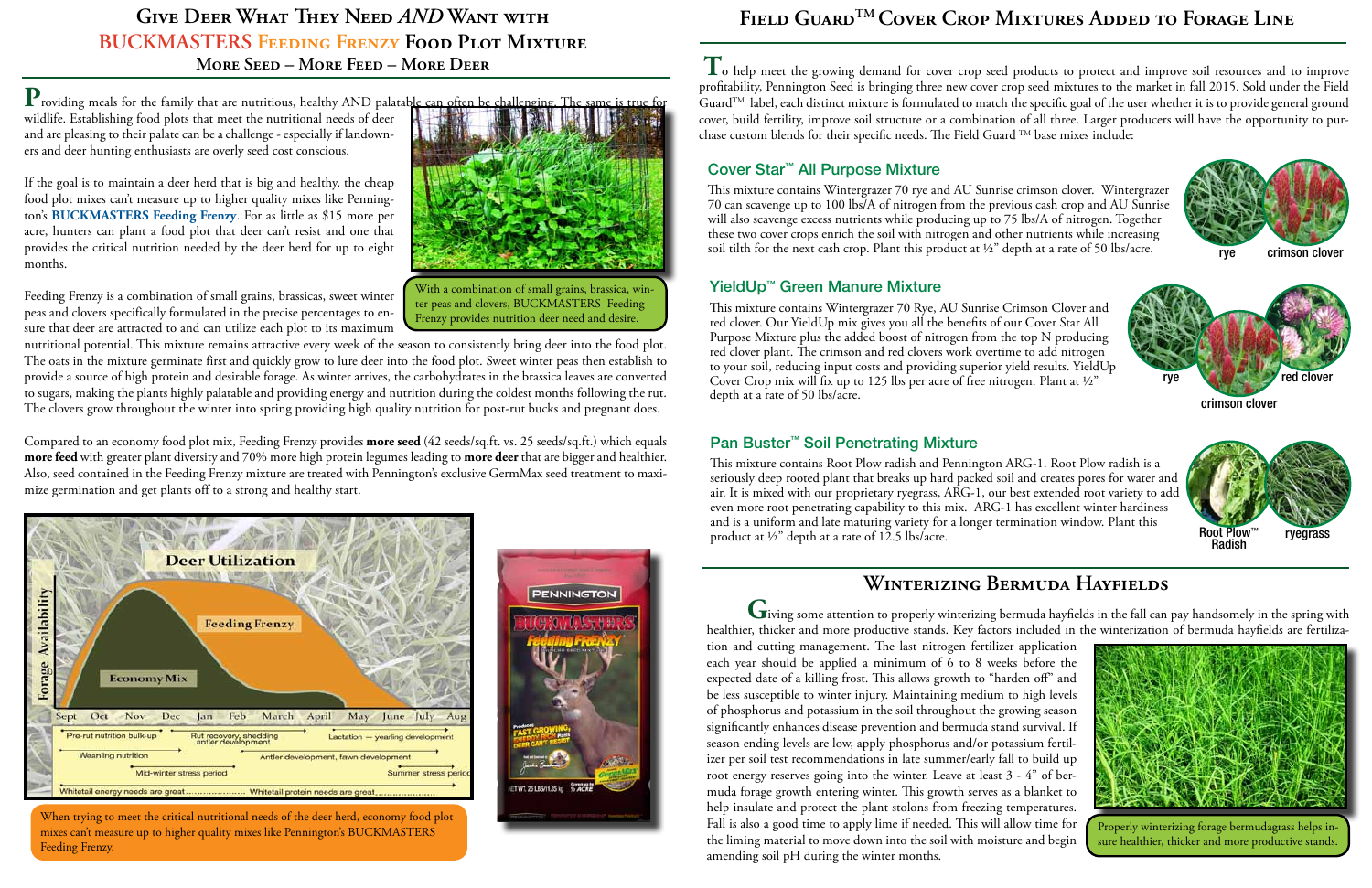**T**o help meet the growing demand for cover crop seed products to protect and improve soil resources and to improve profitability, Pennington Seed is bringing three new cover crop seed mixtures to the market in fall 2015. Sold under the Field Guard<sup>TM</sup> label, each distinct mixture is formulated to match the specific goal of the user whether it is to provide general ground cover, build fertility, improve soil structure or a combination of all three. Larger producers will have the opportunity to purchase custom blends for their specific needs. The Field Guard  $TM$  base mixes include:

#### Cover Star™ All Purpose Mixture

This mixture contains Wintergrazer 70 rye and AU Sunrise crimson clover. Wintergrazer 70 can scavenge up to 100 lbs/A of nitrogen from the previous cash crop and AU Sunrise will also scavenge excess nutrients while producing up to 75 lbs/A of nitrogen. Together these two cover crops enrich the soil with nitrogen and other nutrients while increasing soil tilth for the next cash crop. Plant this product at  $\frac{1}{2}$  depth at a rate of 50 lbs/acre.

## YieldUp™ Green Manure Mixture

This mixture contains Wintergrazer 70 Rye, AU Sunrise Crimson Clover and red clover. Our YieldUp mix gives you all the benefits of our Cover Star All Purpose Mixture plus the added boost of nitrogen from the top N producing red clover plant. The crimson and red clovers work overtime to add nitrogen to your soil, reducing input costs and providing superior yield results. YieldUp Cover Crop mix will fix up to 125 lbs per acre of free nitrogen. Plant at ½" depth at a rate of 50 lbs/acre.

## Pan Buster™ Soil Penetrating Mixture

This mixture contains Root Plow radish and Pennington ARG-1. Root Plow radish is a seriously deep rooted plant that breaks up hard packed soil and creates pores for water and air. It is mixed with our proprietary ryegrass, ARG-1, our best extended root variety to add even more root penetrating capability to this mix. ARG-1 has excellent winter hardiness and is a uniform and late maturing variety for a longer termination window. Plant this product at ½" depth at a rate of 12.5 lbs/acre.



rye crimson clover





# **Winterizing Bermuda Hayfields**

**G**iving some attention to properly winterizing bermuda hayfields in the fall can pay handsomely in the spring with healthier, thicker and more productive stands. Key factors included in the winterization of bermuda hayfields are fertiliza-

tion and cutting management. The last nitrogen fertilizer application each year should be applied a minimum of 6 to 8 weeks before the expected date of a killing frost. This allows growth to "harden off" and be less susceptible to winter injury. Maintaining medium to high levels of phosphorus and potassium in the soil throughout the growing season significantly enhances disease prevention and bermuda stand survival. If season ending levels are low, apply phosphorus and/or potassium fertilizer per soil test recommendations in late summer/early fall to build up root energy reserves going into the winter. Leave at least 3 - 4" of bermuda forage growth entering winter. This growth serves as a blanket to help insulate and protect the plant stolons from freezing temperatures. Fall is also a good time to apply lime if needed. This will allow time for the liming material to move down into the soil with moisture and begin amending soil pH during the winter months.



Properly winterizing forage bermudagrass helps insure healthier, thicker and more productive stands.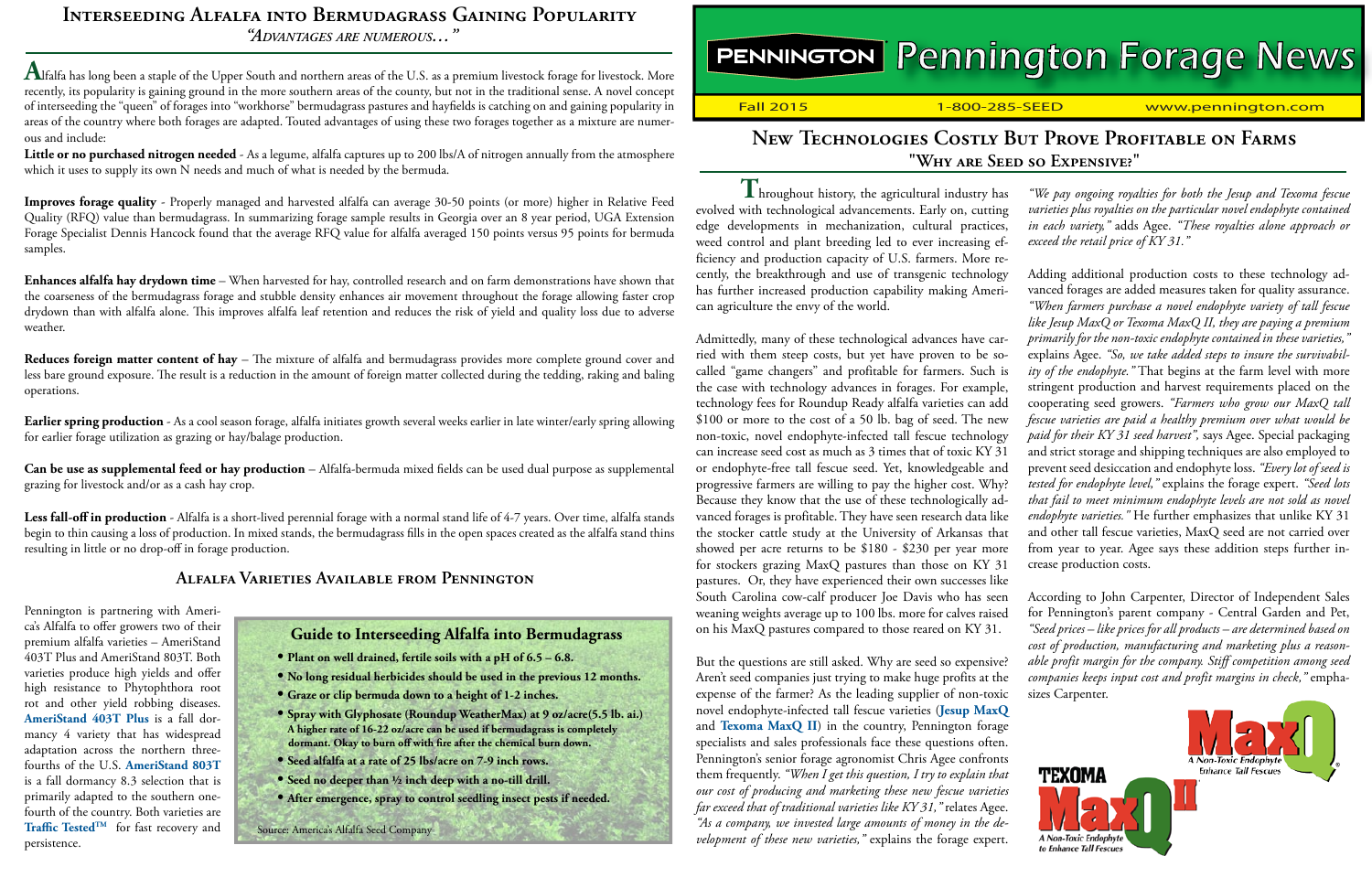# **Interseeding Alfalfa into Bermudagrass Gaining Popularity**

*"Advantages are numerous…"*

**A**lfalfa has long been a staple of the Upper South and northern areas of the U.S. as a premium livestock forage for livestock. More recently, its popularity is gaining ground in the more southern areas of the county, but not in the traditional sense. A novel concept of interseeding the "queen" of forages into "workhorse" bermudagrass pastures and hayfields is catching on and gaining popularity in areas of the country where both forages are adapted. Touted advantages of using these two forages together as a mixture are numerous and include:

**Little or no purchased nitrogen needed** - As a legume, alfalfa captures up to 200 lbs/A of nitrogen annually from the atmosphere which it uses to supply its own N needs and much of what is needed by the bermuda.

**Improves forage quality** - Properly managed and harvested alfalfa can average 30-50 points (or more) higher in Relative Feed Quality (RFQ) value than bermudagrass. In summarizing forage sample results in Georgia over an 8 year period, UGA Extension Forage Specialist Dennis Hancock found that the average RFQ value for alfalfa averaged 150 points versus 95 points for bermuda samples.

**Enhances alfalfa hay drydown time** – When harvested for hay, controlled research and on farm demonstrations have shown that the coarseness of the bermudagrass forage and stubble density enhances air movement throughout the forage allowing faster crop drydown than with alfalfa alone. This improves alfalfa leaf retention and reduces the risk of yield and quality loss due to adverse weather.

**Reduces foreign matter content of hay** – The mixture of alfalfa and bermudagrass provides more complete ground cover and less bare ground exposure. The result is a reduction in the amount of foreign matter collected during the tedding, raking and baling operations.

**Earlier spring production** - As a cool season forage, alfalfa initiates growth several weeks earlier in late winter/early spring allowing for earlier forage utilization as grazing or hay/balage production.

**Can be use as supplemental feed or hay production** – Alfalfa-bermuda mixed fields can be used dual purpose as supplemental grazing for livestock and/or as a cash hay crop.

Less fall-off in production - Alfalfa is a short-lived perennial forage with a normal stand life of 4-7 years. Over time, alfalfa stands begin to thin causing a loss of production. In mixed stands, the bermudagrass fills in the open spaces created as the alfalfa stand thins resulting in little or no drop-off in forage production.

## **Alfalfa Varieties Available from Pennington**

Pennington is partnering with America's Alfalfa to offer growers two of their premium alfalfa varieties – AmeriStand 403T Plus and AmeriStand 803T. Both varieties produce high yields and offer high resistance to Phytophthora root rot and other yield robbing diseases. **[AmeriStand 403T P](http://www.americasalfalfa.com/alfalfa/media/PDFs/Tech%20Sheets/TechSheet_403TPlus_v5.pdf?ext=.pdf)lus** is a fall dormancy 4 variety that has widespread adaptation across the northern threefourths of the U.S. **[AmeriStand 803T](http://www.americasalfalfa.com/alfalfa/media/PDFs/Tech%20Sheets/TechSheet_803T_v4_1.pdf?ext=.pdf)**  is a fall dormancy 8.3 selection that is primarily adapted to the southern onefourth of the country. Both varieties are **[Traffic TestedTM](http://www.americasalfalfa.com/alfalfa-varieties/traffic-tested�)** for fast recovery and persistence.

#### **Guide to Interseeding Alfalfa into Bermudagrass • Plant on well drained, fertile soils with a pH of 6.5 – 6.8. • No long residual herbicides should be used in the previous 12 months. • Graze or clip bermuda down to a height of 1-2 inches. • Spray with Glyphosate (Roundup WeatherMax) at 9 oz/acre(5.5 lb. ai.) A higher rate of 16-22 oz/acre can be used if bermudagrass is completely dormant. Okay to burn off with fire after the chemical burn down. • Seed alfalfa at a rate of 25 lbs/acre on 7-9 inch rows. • Seed no deeper than ½ inch deep with a no-till drill.**

**• After emergence, spray to control seedling insect pests if needed.**

Source: America's Alfalfa Seed Company